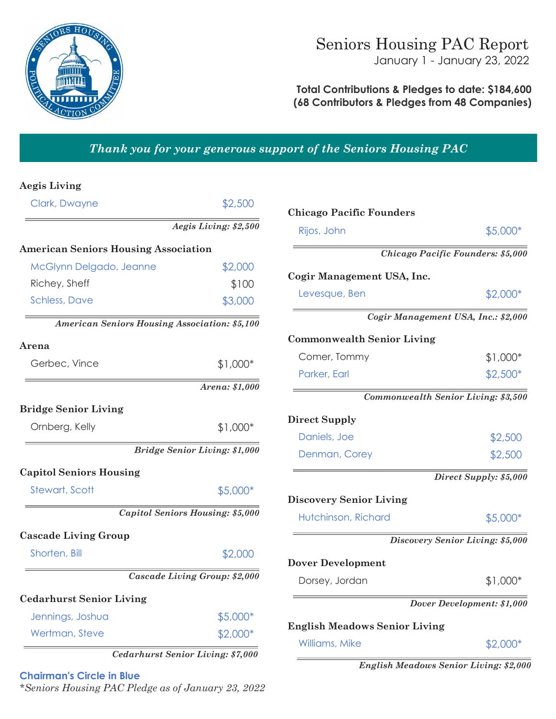

## **Total Contributions & Pledges to date: \$184,600 (68 Contributors & Pledges from 48 Companies)**

# *Thank you for your generous support of the Seniors Housing PAC*

#### **Aegis Living**

| Clark, Dwayne                                 | \$2,500                                 |
|-----------------------------------------------|-----------------------------------------|
|                                               | Aegis Living: \$2,500                   |
| <b>American Seniors Housing Association</b>   |                                         |
| McGlynn Delgado, Jeanne                       | \$2,000                                 |
| Richey, Sheff                                 | \$100                                   |
| <b>Schless, Dave</b>                          | \$3,000                                 |
| American Seniors Housing Association: \$5,100 |                                         |
| Arena                                         |                                         |
| Gerbec, Vince                                 | \$1,000*                                |
|                                               | Arena: \$1,000                          |
| <b>Bridge Senior Living</b>                   |                                         |
| Ornberg, Kelly                                | $$1,000*$                               |
|                                               | <b>Bridge Senior Living: \$1,000</b>    |
| <b>Capitol Seniors Housing</b>                |                                         |
| <b>Stewart, Scott</b>                         | \$5,000*                                |
|                                               | <b>Capitol Seniors Housing: \$5,000</b> |
| <b>Cascade Living Group</b>                   |                                         |
| Shorten, Bill                                 | \$2,000                                 |
|                                               | Cascade Living Group: \$2,000           |
| <b>Cedarhurst Senior Living</b>               |                                         |
| Jennings, Joshua                              | \$5,000*                                |
| Wertman, Steve                                | \$2,000*                                |

#### **Chairman's Circle in Blue**

*\*Seniors Housing PAC Pledge as of January 23, 2022*

| <b>Chicago Pacific Founders</b>      |                                     |
|--------------------------------------|-------------------------------------|
| Rijos, John                          | \$5,000*                            |
|                                      | Chicago Pacific Founders: \$5,000   |
| Cogir Management USA, Inc.           |                                     |
| Levesque, Ben                        | \$2,000*                            |
|                                      | Cogir Management USA, Inc.: \$2,000 |
| <b>Commonwealth Senior Living</b>    |                                     |
| Comer, Tommy                         | $$1,000*$                           |
| Parker, Earl                         | $$2,500*$                           |
|                                      | Commonwealth Senior Living: \$3,500 |
| <b>Direct Supply</b>                 |                                     |
| Daniels, Joe                         | \$2,500                             |
| Denman, Corey                        | \$2,500                             |
|                                      | Direct Supply: \$5,000              |
| <b>Discovery Senior Living</b>       |                                     |
| Hutchinson, Richard                  | \$5,000*                            |
|                                      | Discovery Senior Living: \$5,000    |
| <b>Dover Development</b>             |                                     |
| Dorsey, Jordan                       | \$1,000*                            |
|                                      | Dover Development: \$1,000          |
| <b>English Meadows Senior Living</b> |                                     |
| Williams, Mike                       | $$2,000*$                           |
|                                      |                                     |

*English Meadows Senior Living: \$2,000*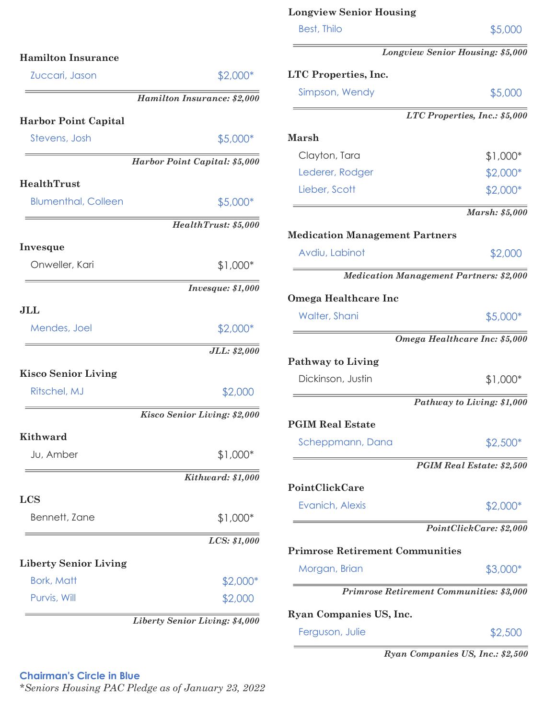|                              |                                | <b>Best, Thilo</b>             |
|------------------------------|--------------------------------|--------------------------------|
| <b>Hamilton Insurance</b>    |                                | Longvi                         |
| Zuccari, Jason               | \$2,000*                       | LTC Properties, Inc.           |
|                              | Hamilton Insurance: \$2,000    | Simpson, Wendy                 |
| <b>Harbor Point Capital</b>  |                                | L                              |
| Stevens, Josh                | \$5,000*                       | <b>Marsh</b>                   |
|                              | Harbor Point Capital: \$5,000  | Clayton, Tara                  |
|                              |                                | Lederer, Rodger                |
| HealthTrust                  |                                | Lieber, Scott                  |
| <b>Blumenthal, Colleen</b>   | \$5,000*                       |                                |
|                              | HealthTrust: \$5,000           | <b>Medication Management</b>   |
| Invesque                     |                                | Avdiu, Labinot                 |
| Onweller, Kari               | $$1,000*$                      |                                |
|                              | <i>Invesque: \$1,000</i>       | <b>Medication Mar</b>          |
|                              |                                | <b>Omega Healthcare Inc</b>    |
| JLL                          |                                | Walter, Shani                  |
| Mendes, Joel                 | $$2,000*$                      | Om                             |
|                              | JLL: \$2,000                   | <b>Pathway to Living</b>       |
| <b>Kisco Senior Living</b>   |                                | Dickinson, Justin              |
| Ritschel, MJ                 | \$2,000                        |                                |
|                              | Kisco Senior Living: \$2,000   |                                |
| <b>Kithward</b>              |                                | <b>PGIM Real Estate</b>        |
| Ju, Amber                    | $$1,000*$                      | Scheppmann, Dana               |
|                              | Kithward: \$1,000              |                                |
|                              |                                | PointClickCare                 |
| <b>LCS</b>                   |                                | Evanich, Alexis                |
| Bennett, Zane                | $$1,000*$                      |                                |
|                              | LCS: \$1,000                   | <b>Primrose Retirement Cor</b> |
| <b>Liberty Senior Living</b> |                                | Morgan, Brian                  |
| <b>Bork, Matt</b>            | $$2,000*$                      |                                |
| Purvis, Will                 | \$2,000                        | <b>Primrose Retire</b>         |
|                              | Liberty Senior Living: \$4,000 | Ryan Companies US, Inc.        |
|                              |                                |                                |

*Lew Senior Housing: \$5,000* \$5,000 *LTC Properties, Inc.: \$5,000*   $$1,000*$  $$2,000*$  $$2,000*$ *Marsh: \$5,000*  **Partners**  $$2,000$ *Medication Management Partners: \$2,000*   $$5,000*$ *Omega Healthcare Inc: \$5,000*   $$1,000*$ *Pathway to Living: \$1,000*   $$2,500*$ *PGIM Real Estate: \$2,500*   $$2,000*$ *PointClickCare: \$2,000*  **Primrose Retirement Communities**

**Longview Senior Housing**

*Primrose Retirement Communities: \$3,000* 

Ferguson, Julie  $$2,500$ 

 $$3,000*$ 

\$5,000

*Ryan Companies US, Inc.: \$2,500* 

### **Chairman's Circle in Blue**

*\*Seniors Housing PAC Pledge as of January 23, 2022*